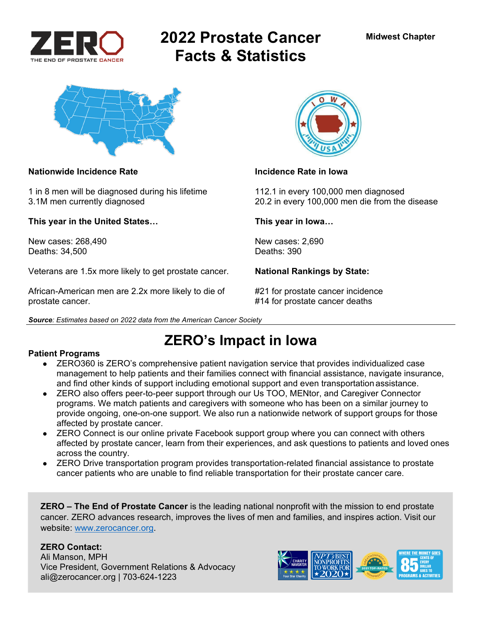

# **2022 Prostate Cancer Facts & Statistics**



### **Nationwide Incidence Rate Incidence Rate in Iowa**

1 in 8 men will be diagnosed during his lifetime 112.1 in every 100,000 men diagnosed

**This year in the United States… This year in Iowa…** 

New cases: 268,490 New cases: 2,690<br>Deaths: 34.500 Deaths: 390 Deaths: 34,500

Veterans are 1.5x more likely to get prostate cancer. **National Rankings by State:** 

African-American men are 2.2x more likely to die of #21 for prostate cancer incidence prostate cancer. #14 for prostate cancer deaths





3.1M men currently diagnosed 20.2 in every 100,000 men die from the disease

**ZERO's Impact in Iowa** 

### **Patient Programs**

- ZERO360 is ZERO's comprehensive patient navigation service that provides individualized case management to help patients and their families connect with financial assistance, navigate insurance, and find other kinds of support including emotional support and even transportation assistance.
- ZERO also offers peer-to-peer support through our Us TOO, MENtor, and Caregiver Connector programs. We match patients and caregivers with someone who has been on a similar journey to provide ongoing, one-on-one support. We also run a nationwide network of support groups for those affected by prostate cancer.
- ZERO Connect is our online private Facebook support group where you can connect with others affected by prostate cancer, learn from their experiences, and ask questions to patients and loved ones across the country.
- ZERO Drive transportation program provides transportation-related financial assistance to prostate cancer patients who are unable to find reliable transportation for their prostate cancer care.

**ZERO – The End of Prostate Cancer** is the leading national nonprofit with the mission to end prostate cancer. ZERO advances research, improves the lives of men and families, and inspires action. Visit our website: www.zerocancer.org.

### **ZERO Contact:**

Ali Manson, MPH Vice President, Government Relations & Advocacy ali@zerocancer.org | 703-624-1223